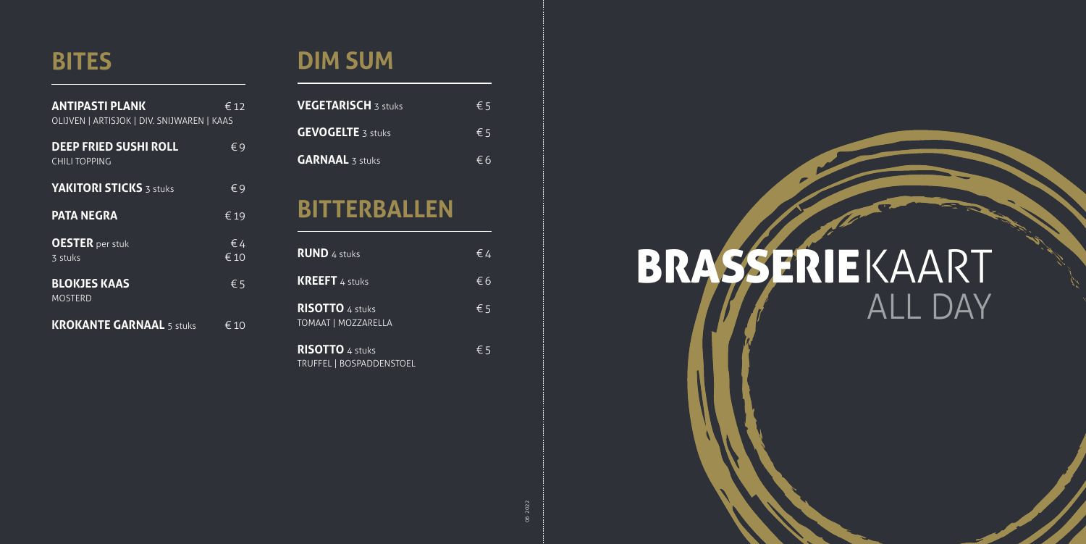BRASSERIEKAART

# ALL DAY

## **BITES**

| <b>ANTIPASTI PLANK</b><br>OLIJVEN   ARTISJOK   DIV. SNIJWAREN   KAAS | € 12                 |
|----------------------------------------------------------------------|----------------------|
| <b>DEEP FRIED SUSHI ROLL</b><br><b>CHILI TOPPING</b>                 | €9                   |
| <b>YAKITORI STICKS 3 stuks</b>                                       | €9                   |
| <b>PATA NEGRA</b>                                                    | €19                  |
| <b>OESTER</b> per stuk<br>3 stuks                                    | $\epsilon$ 4<br>€ 10 |
| <b>BLOKJES KAAS</b><br><b>MOSTERD</b>                                | $\epsilon$ 5         |
| <b>KROKANTE GARNAAL 5 stuks</b>                                      | € 10                 |

## **DIM SUM**

| <b>VEGETARISCH 3 stuks</b>                           | €5           |
|------------------------------------------------------|--------------|
| <b>GEVOGELTE 3 stuks</b>                             | $\epsilon$ 5 |
| <b>GARNAAL 3 stuks</b>                               | €6           |
| <b>BITTERBALLEN</b>                                  |              |
|                                                      |              |
| <b>RUND</b> 4 stuks                                  | $\epsilon$ 4 |
| <b>KREEFT</b> 4 stuks                                | €6           |
| <b>RISOTTO 4 stuks</b><br><b>TOMAAT   MOZZARELLA</b> | $\epsilon$ 5 |